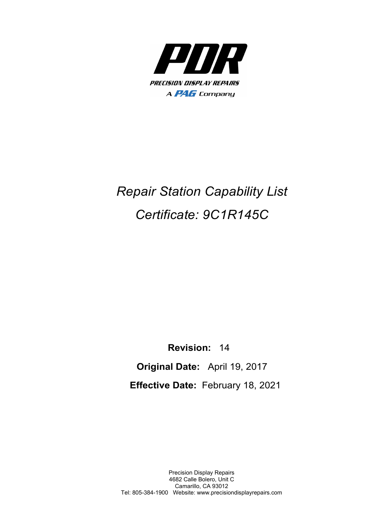

## *Repair Station Capability List Certificate: 9C1R145C*

 **Revision:** 14  **Original Date:** April 19, 2017 **Effective Date:** February 18, 2021

Precision Display Repairs 4682 Calle Bolero, Unit C Camarillo, CA 93012 Tel: 805-384-1900 Website: www.precisiondisplayrepairs.com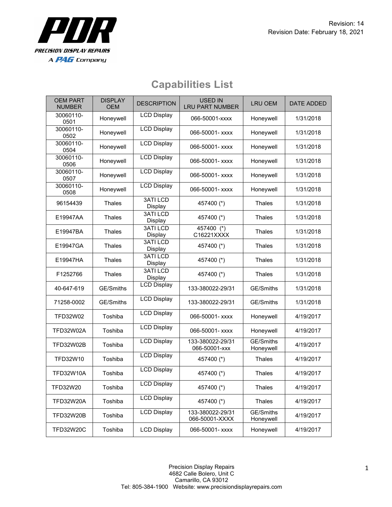

OEM PART NUMBER

30060110-

30060110-

30060110-

| <b>M PART</b><br>JMBER | <b>DISPLAY</b><br><b>OEM</b> | <b>DESCRIPTION</b>         | <b>USED IN</b><br><b>LRU PART NUMBER</b> | <b>LRU OEM</b> | DATE ADDED |
|------------------------|------------------------------|----------------------------|------------------------------------------|----------------|------------|
| 060110-<br>0501        | Honeywell                    | <b>LCD Display</b>         | 066-50001-xxxx                           | Honeywell      | 1/31/2018  |
| 060110-<br>0502        | Honeywell                    | <b>LCD Display</b>         | 066-50001- xxxx                          | Honeywell      | 1/31/2018  |
| 060110-<br>0504        | Honeywell                    | <b>LCD Display</b>         | 066-50001- xxxx                          | Honeywell      | 1/31/2018  |
| 060110-<br>0506        | Honeywell                    | <b>LCD Display</b>         | 066-50001- xxxx                          | Honeywell      | 1/31/2018  |
| 060110-<br>0507        | Honeywell                    | <b>LCD Display</b>         | 066-50001- xxxx                          | Honeywell      | 1/31/2018  |
| 060110-<br>0508        | Honeywell                    | <b>LCD Display</b>         | 066-50001- xxxx                          | Honeywell      | 1/31/2018  |
| 154439                 | Thales                       | <b>3ATI LCD</b><br>Display | 457400 (*)                               | Thales         | 1/31/2018  |
| 9947AA                 | Thales                       | <b>3ATILCD</b><br>Display  | 457400 (*)                               | Thales         | 1/31/2018  |
| 0017D A                | Tholog                       | 3ATI LCD                   | 457400<br>$(*)$                          | Tholas         | 1/21/20    |

## **Capabilities List**

| 0504              | <u>I</u> IOITEYWEII |                            | VUU-JUUU I- AAAA                   | <u>LIQIIEYWEIL</u>                   | 173 1720 10 |
|-------------------|---------------------|----------------------------|------------------------------------|--------------------------------------|-------------|
| 30060110-<br>0506 | Honeywell           | <b>LCD Display</b>         | 066-50001- xxxx                    | Honeywell                            | 1/31/2018   |
| 30060110-<br>0507 | Honeywell           | <b>LCD Display</b>         | 066-50001- xxxx                    | Honeywell                            | 1/31/2018   |
| 30060110-<br>0508 | Honeywell           | <b>LCD Display</b>         | 066-50001- xxxx                    | Honeywell                            | 1/31/2018   |
| 96154439          | <b>Thales</b>       | <b>3ATILCD</b><br>Display  | 457400 (*)                         | <b>Thales</b>                        | 1/31/2018   |
| E19947AA          | <b>Thales</b>       | <b>3ATI LCD</b><br>Display | 457400 (*)                         | <b>Thales</b>                        | 1/31/2018   |
| E19947BA          | Thales              | <b>3ATILCD</b><br>Display  | 457400 (*)<br>C16221XXXX           | Thales                               | 1/31/2018   |
| E19947GA          | <b>Thales</b>       | 3ATI LCD<br><b>Display</b> | 457400 (*)                         | <b>Thales</b>                        | 1/31/2018   |
| E19947HA          | <b>Thales</b>       | <b>3ATILCD</b><br>Display  | 457400 (*)                         | <b>Thales</b>                        | 1/31/2018   |
| F1252766          | <b>Thales</b>       | <b>3ATI LCD</b><br>Display | 457400 (*)                         | <b>Thales</b>                        | 1/31/2018   |
| 40-647-619        | <b>GE/Smiths</b>    | <b>LCD Display</b>         | 133-380022-29/31                   | GE/Smiths                            | 1/31/2018   |
| 71258-0002        | GE/Smiths           | <b>LCD Display</b>         | 133-380022-29/31                   | GE/Smiths                            | 1/31/2018   |
| TFD32W02          | Toshiba             | <b>LCD Display</b>         | 066-50001- xxxx                    | Honeywell                            | 4/19/2017   |
| <b>TFD32W02A</b>  | Toshiba             | <b>LCD Display</b>         | 066-50001- xxxx                    | Honeywell                            | 4/19/2017   |
| TFD32W02B         | Toshiba             | <b>LCD Display</b>         | 133-380022-29/31<br>066-50001-xxx  | $\overline{GE}$ /Smiths<br>Honeywell | 4/19/2017   |
| TFD32W10          | Toshiba             | <b>LCD Display</b>         | 457400 (*)                         | <b>Thales</b>                        | 4/19/2017   |
| TFD32W10A         | Toshiba             | <b>LCD Display</b>         | 457400 (*)                         | Thales                               | 4/19/2017   |
| TFD32W20          | Toshiba             | <b>LCD Display</b>         | 457400 (*)                         | Thales                               | 4/19/2017   |
| <b>TFD32W20A</b>  | Toshiba             | <b>LCD Display</b>         | 457400 (*)                         | Thales                               | 4/19/2017   |
| <b>TFD32W20B</b>  | Toshiba             | <b>LCD Display</b>         | 133-380022-29/31<br>066-50001-XXXX | <b>GE/Smiths</b><br>Honeywell        | 4/19/2017   |
| <b>TFD32W20C</b>  | Toshiba             | <b>LCD Display</b>         | 066-50001- xxxx                    | Honeywell                            | 4/19/2017   |
|                   |                     |                            |                                    |                                      |             |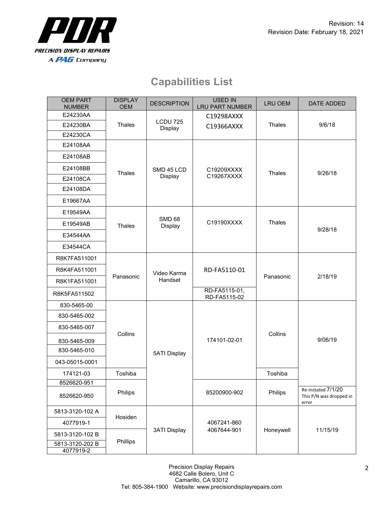

## **Capabilities List**

| <b>OEM PART</b><br><b>NUMBER</b> | <b>DISPLAY</b><br><b>OEM</b> | <b>DESCRIPTION</b>                     | <b>USED IN</b><br><b>LRU PART NUMBER</b> | <b>LRU OEM</b> | DATE ADDED                                             |
|----------------------------------|------------------------------|----------------------------------------|------------------------------------------|----------------|--------------------------------------------------------|
| E24230AA                         |                              | <b>LCDU 725</b><br>Display             | C19298AXXX<br>C19366AXXX                 | Thales         | 9/6/18                                                 |
| E24230BA                         | Thales                       |                                        |                                          |                |                                                        |
| E24230CA                         |                              |                                        |                                          |                |                                                        |
| E24108AA                         |                              | SMD 45 LCD<br>Display                  | C19209XXXX<br>C19267XXXX                 | Thales         | 9/26/18                                                |
| E24108AB                         | Thales                       |                                        |                                          |                |                                                        |
| E24108BB                         |                              |                                        |                                          |                |                                                        |
| E24108CA                         |                              |                                        |                                          |                |                                                        |
| E24108DA                         |                              |                                        |                                          |                |                                                        |
| E19667AA                         |                              |                                        |                                          |                |                                                        |
| E19549AA                         | Thales                       | <b>SMD 68</b><br>C19190XXXX<br>Display |                                          |                |                                                        |
| E19549AB                         |                              |                                        | Thales                                   | 9/28/18        |                                                        |
| E34544AA                         |                              |                                        |                                          |                |                                                        |
| E34544CA                         |                              |                                        |                                          |                |                                                        |
| R8K7FA511001                     | Panasonic                    | Video Karma<br>Handset                 | RD-FA5110-01                             | Panasonic      | 2/18/19                                                |
| R8K4FA511001                     |                              |                                        |                                          |                |                                                        |
| R8K1FA511001                     |                              |                                        |                                          |                |                                                        |
| R8K5FA511502                     |                              |                                        | RD-FA5115-01,<br>RD-FA5115-02            |                |                                                        |
| 830-5465-00                      |                              | <b>5ATI Display</b>                    | 174101-02-01                             | Collins        | 9/06/19                                                |
| 830-5465-002                     |                              |                                        |                                          |                |                                                        |
| 830-5465-007                     |                              |                                        |                                          |                |                                                        |
| 830-5465-009                     | Collins                      |                                        |                                          |                |                                                        |
| 830-5465-010                     |                              |                                        |                                          |                |                                                        |
| 043-05015-0001                   |                              |                                        |                                          |                |                                                        |
| 174121-03                        | Toshiba                      |                                        |                                          | Toshiba        |                                                        |
| 8526620-951                      |                              |                                        | 85200900-902                             | Philips        |                                                        |
| 8526620-950                      | Philips                      |                                        |                                          |                | Re-instated 7/1/20<br>This P/N was dropped in<br>error |
| 5813-3120-102 A                  |                              | <b>3ATI Display</b>                    | 4067241-860<br>4067644-901               | Honeywell      | 11/15/19                                               |
| 4077919-1                        | Hosiden                      |                                        |                                          |                |                                                        |
| 5813-3120-102 B                  |                              |                                        |                                          |                |                                                        |
| 5813-3120-202 B<br>4077919-2     | Phillips                     |                                        |                                          |                |                                                        |